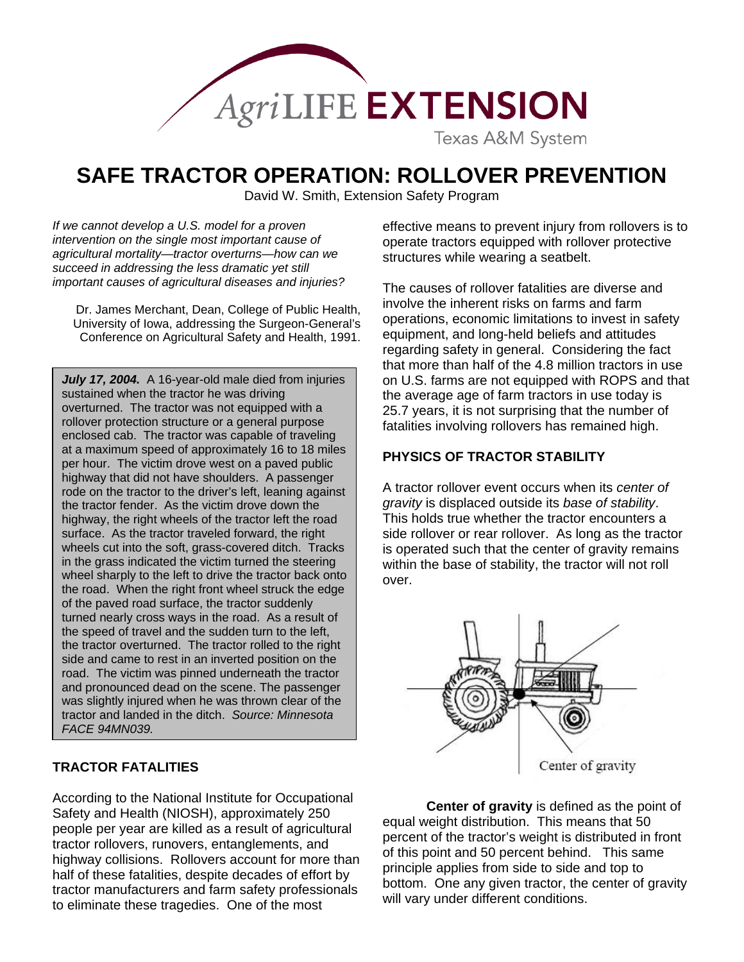

# **SAFE TRACTOR OPERATION: ROLLOVER PREVENTION**

David W. Smith, Extension Safety Program

*If we cannot develop a U.S. model for a proven intervention on the single most important cause of agricultural mortality—tractor overturns—how can we succeed in addressing the less dramatic yet still important causes of agricultural diseases and injuries?* 

Dr. James Merchant, Dean, College of Public Health, University of Iowa, addressing the Surgeon-General's Conference on Agricultural Safety and Health, 1991.

July 17, 2004. A 16-year-old male died from injuries sustained when the tractor he was driving overturned. The tractor was not equipped with a rollover protection structure or a general purpose enclosed cab. The tractor was capable of traveling at a maximum speed of approximately 16 to 18 miles per hour. The victim drove west on a paved public highway that did not have shoulders. A passenger rode on the tractor to the driver's left, leaning against the tractor fender. As the victim drove down the highway, the right wheels of the tractor left the road surface. As the tractor traveled forward, the right wheels cut into the soft, grass-covered ditch. Tracks in the grass indicated the victim turned the steering wheel sharply to the left to drive the tractor back onto the road. When the right front wheel struck the edge of the paved road surface, the tractor suddenly turned nearly cross ways in the road. As a result of the speed of travel and the sudden turn to the left, the tractor overturned. The tractor rolled to the right side and came to rest in an inverted position on the road. The victim was pinned underneath the tractor and pronounced dead on the scene. The passenger was slightly injured when he was thrown clear of the tractor and landed in the ditch. *Source: Minnesota FACE 94MN039.* 

# **TRACTOR FATALITIES**

According to the National Institute for Occupational Safety and Health (NIOSH), approximately 250 people per year are killed as a result of agricultural tractor rollovers, runovers, entanglements, and highway collisions. Rollovers account for more than half of these fatalities, despite decades of effort by tractor manufacturers and farm safety professionals to eliminate these tragedies. One of the most

effective means to prevent injury from rollovers is to operate tractors equipped with rollover protective structures while wearing a seatbelt.

The causes of rollover fatalities are diverse and involve the inherent risks on farms and farm operations, economic limitations to invest in safety equipment, and long-held beliefs and attitudes regarding safety in general. Considering the fact that more than half of the 4.8 million tractors in use on U.S. farms are not equipped with ROPS and that the average age of farm tractors in use today is 25.7 years, it is not surprising that the number of fatalities involving rollovers has remained high.

## **PHYSICS OF TRACTOR STABILITY**

A tractor rollover event occurs when its *center of gravity* is displaced outside its *base of stability*. This holds true whether the tractor encounters a side rollover or rear rollover. As long as the tractor is operated such that the center of gravity remains within the base of stability, the tractor will not roll over.



**Center of gravity** is defined as the point of equal weight distribution. This means that 50 percent of the tractor's weight is distributed in front of this point and 50 percent behind. This same principle applies from side to side and top to bottom. One any given tractor, the center of gravity will vary under different conditions.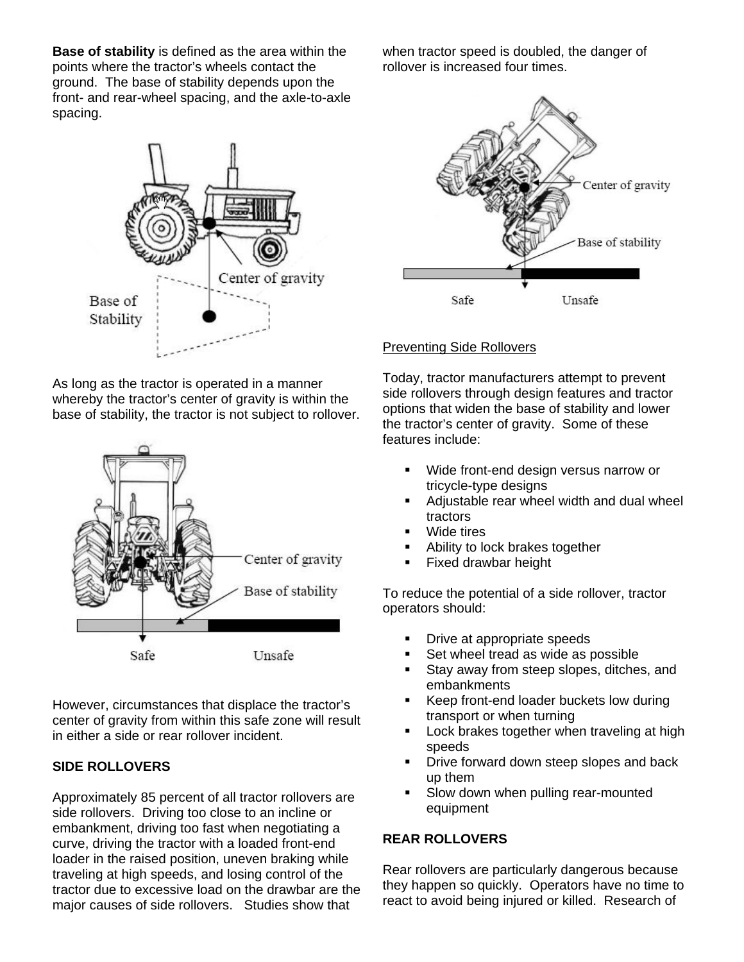**Base of stability** is defined as the area within the points where the tractor's wheels contact the ground. The base of stability depends upon the front- and rear-wheel spacing, and the axle-to-axle spacing.



As long as the tractor is operated in a manner whereby the tractor's center of gravity is within the base of stability, the tractor is not subject to rollover.



However, circumstances that displace the tractor's center of gravity from within this safe zone will result in either a side or rear rollover incident.

# **SIDE ROLLOVERS**

Approximately 85 percent of all tractor rollovers are side rollovers. Driving too close to an incline or embankment, driving too fast when negotiating a curve, driving the tractor with a loaded front-end loader in the raised position, uneven braking while traveling at high speeds, and losing control of the tractor due to excessive load on the drawbar are the major causes of side rollovers. Studies show that

when tractor speed is doubled, the danger of rollover is increased four times.



## Preventing Side Rollovers

Today, tractor manufacturers attempt to prevent side rollovers through design features and tractor options that widen the base of stability and lower the tractor's center of gravity. Some of these features include:

- Wide front-end design versus narrow or tricycle-type designs
- Adjustable rear wheel width and dual wheel tractors
- Wide tires
- Ability to lock brakes together
- Fixed drawbar height

To reduce the potential of a side rollover, tractor operators should:

- Drive at appropriate speeds
- Set wheel tread as wide as possible
- **Stay away from steep slopes, ditches, and** embankments
- Keep front-end loader buckets low during transport or when turning
- Lock brakes together when traveling at high speeds
- **•** Drive forward down steep slopes and back up them
- Slow down when pulling rear-mounted equipment

# **REAR ROLLOVERS**

Rear rollovers are particularly dangerous because they happen so quickly. Operators have no time to react to avoid being injured or killed. Research of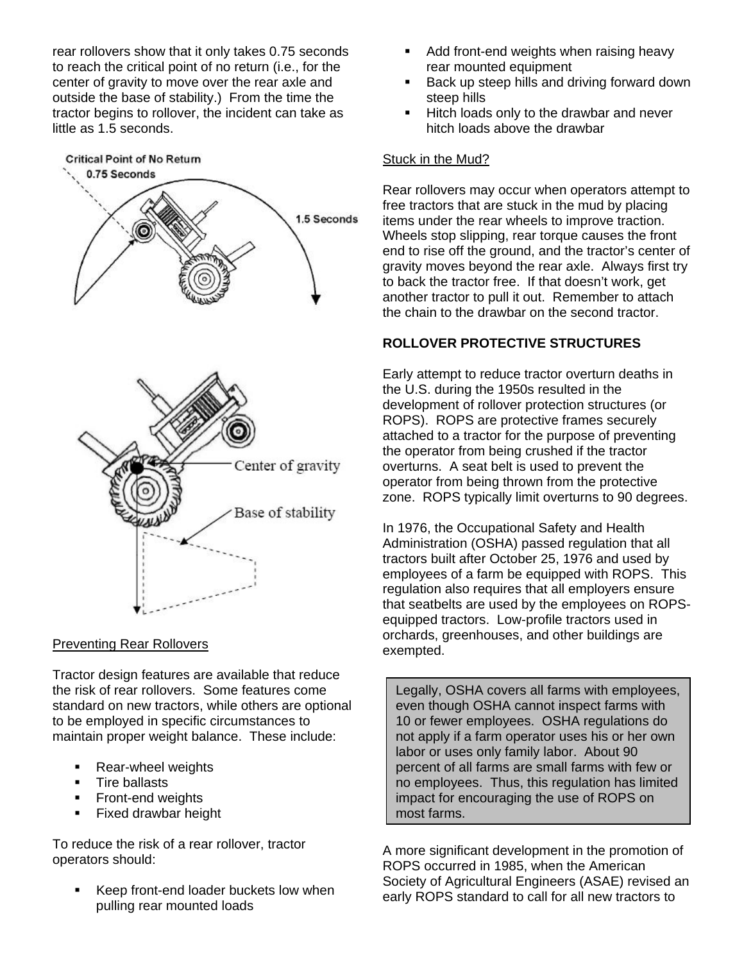rear rollovers show that it only takes 0.75 seconds to reach the critical point of no return (i.e., for the center of gravity to move over the rear axle and outside the base of stability.) From the time the tractor begins to rollover, the incident can take as little as 1.5 seconds.



## Preventing Rear Rollovers

Tractor design features are available that reduce the risk of rear rollovers. Some features come standard on new tractors, while others are optional to be employed in specific circumstances to maintain proper weight balance. These include:

- Rear-wheel weights
- **Tire ballasts**
- **Front-end weights**
- **Fixed drawbar height**

To reduce the risk of a rear rollover, tractor operators should:

Keep front-end loader buckets low when pulling rear mounted loads

- Add front-end weights when raising heavy rear mounted equipment
- Back up steep hills and driving forward down steep hills
- Hitch loads only to the drawbar and never hitch loads above the drawbar

#### Stuck in the Mud?

Rear rollovers may occur when operators attempt to free tractors that are stuck in the mud by placing items under the rear wheels to improve traction. Wheels stop slipping, rear torque causes the front end to rise off the ground, and the tractor's center of gravity moves beyond the rear axle. Always first try to back the tractor free. If that doesn't work, get another tractor to pull it out. Remember to attach the chain to the drawbar on the second tractor.

# **ROLLOVER PROTECTIVE STRUCTURES**

Early attempt to reduce tractor overturn deaths in the U.S. during the 1950s resulted in the development of rollover protection structures (or ROPS). ROPS are protective frames securely attached to a tractor for the purpose of preventing the operator from being crushed if the tractor overturns. A seat belt is used to prevent the operator from being thrown from the protective zone. ROPS typically limit overturns to 90 degrees.

In 1976, the Occupational Safety and Health Administration (OSHA) passed regulation that all tractors built after October 25, 1976 and used by employees of a farm be equipped with ROPS. This regulation also requires that all employers ensure that seatbelts are used by the employees on ROPSequipped tractors. Low-profile tractors used in orchards, greenhouses, and other buildings are exempted.

Legally, OSHA covers all farms with employees, even though OSHA cannot inspect farms with 10 or fewer employees. OSHA regulations do not apply if a farm operator uses his or her own labor or uses only family labor. About 90 percent of all farms are small farms with few or no employees. Thus, this regulation has limited impact for encouraging the use of ROPS on most farms.

A more significant development in the promotion of ROPS occurred in 1985, when the American Society of Agricultural Engineers (ASAE) revised an early ROPS standard to call for all new tractors to